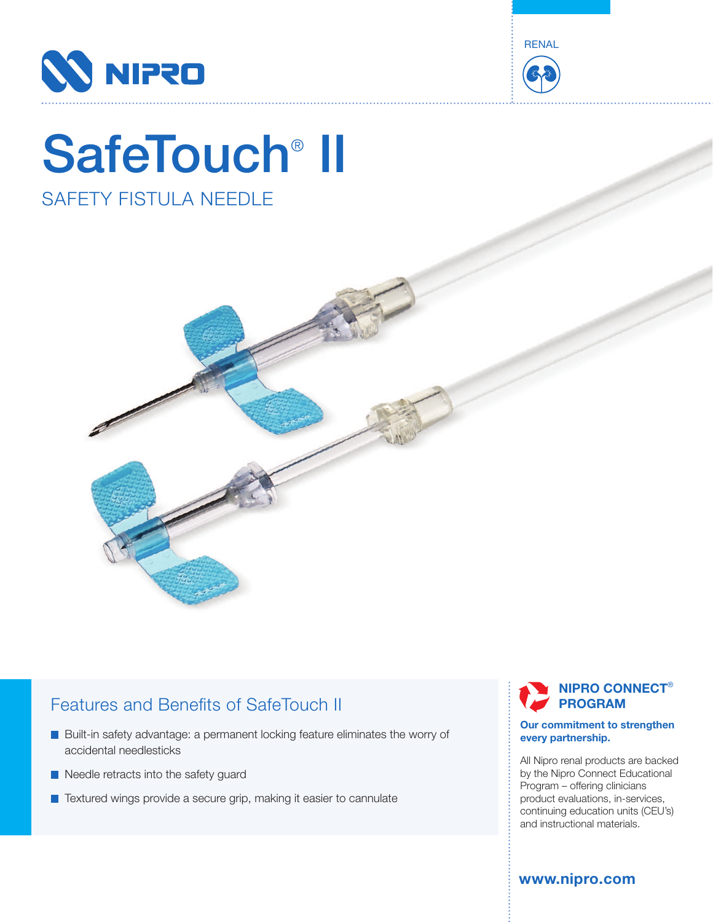



# SafeTouch<sup>®</sup> II

## SAFETY FISTULA NEEDLE



## Features and Benefits of SafeTouch II

- Built-in safety advantage: a permanent locking feature eliminates the worry of accidental needlesticks
- Needle retracts into the safety guard
- Textured wings provide a secure grip, making it easier to cannulate

#### **NIPRO CONNECT**® **PROGRAM**

#### **Our commitment to strengthen every partnership.**

All Nipro renal products are backed by the Nipro Connect Educational Program – offering clinicians product evaluations, in-services, continuing education units (CEU's) and instructional materials.

**www.nipro.com**